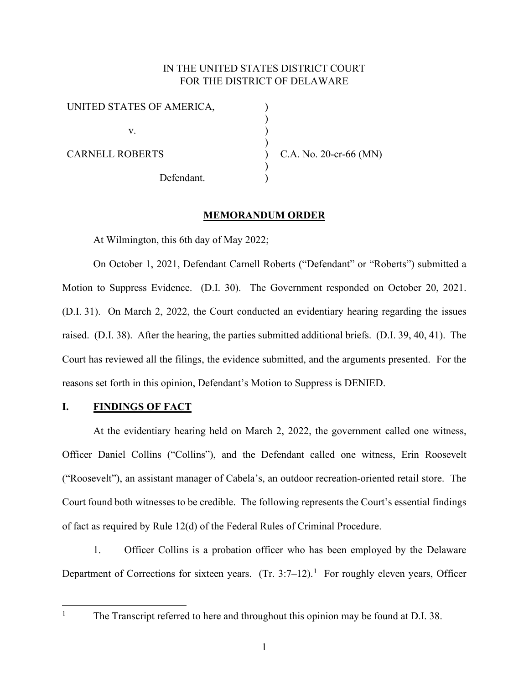# IN THE UNITED STATES DISTRICT COURT FOR THE DISTRICT OF DELAWARE

) ) ) ) ) ) )

| UNITED STATES OF AMERICA, |  |
|---------------------------|--|
| V.                        |  |
| <b>CARNELL ROBERTS</b>    |  |
| Defendant.                |  |

C.A. No. 20-cr-66 (MN)

# **MEMORANDUM ORDER**

At Wilmington, this 6th day of May 2022;

On October 1, 2021, Defendant Carnell Roberts ("Defendant" or "Roberts") submitted a Motion to Suppress Evidence. (D.I. 30). The Government responded on October 20, 2021. (D.I. 31). On March 2, 2022, the Court conducted an evidentiary hearing regarding the issues raised. (D.I. 38). After the hearing, the parties submitted additional briefs. (D.I. 39, 40, 41). The Court has reviewed all the filings, the evidence submitted, and the arguments presented. For the reasons set forth in this opinion, Defendant's Motion to Suppress is DENIED.

### **I. FINDINGS OF FACT**

At the evidentiary hearing held on March 2, 2022, the government called one witness, Officer Daniel Collins ("Collins"), and the Defendant called one witness, Erin Roosevelt ("Roosevelt"), an assistant manager of Cabela's, an outdoor recreation-oriented retail store. The Court found both witnesses to be credible. The following represents the Court's essential findings of fact as required by Rule 12(d) of the Federal Rules of Criminal Procedure.

1. Officer Collins is a probation officer who has been employed by the Delaware Department of Corrections for sixteen years.  $(Tr. 3:7-12).$  $(Tr. 3:7-12).$  $(Tr. 3:7-12).$ <sup>1</sup> For roughly eleven years, Officer

<span id="page-0-0"></span><sup>&</sup>lt;sup>1</sup> The Transcript referred to here and throughout this opinion may be found at D.I. 38.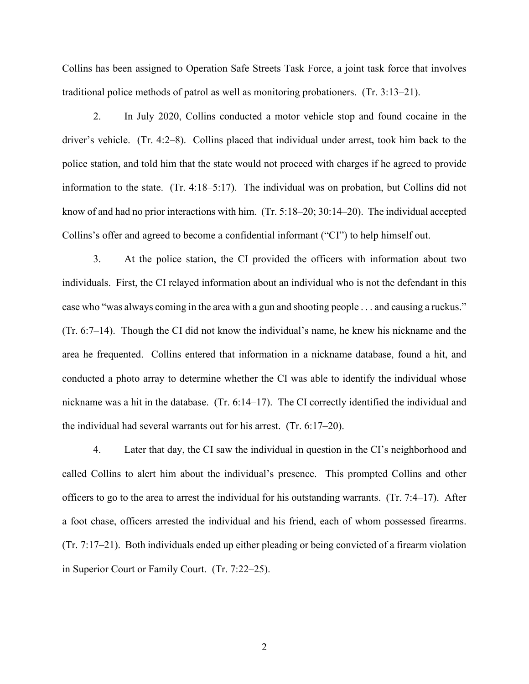Collins has been assigned to Operation Safe Streets Task Force, a joint task force that involves traditional police methods of patrol as well as monitoring probationers. (Tr. 3:13–21).

2. In July 2020, Collins conducted a motor vehicle stop and found cocaine in the driver's vehicle. (Tr. 4:2–8). Collins placed that individual under arrest, took him back to the police station, and told him that the state would not proceed with charges if he agreed to provide information to the state. (Tr. 4:18–5:17). The individual was on probation, but Collins did not know of and had no prior interactions with him. (Tr. 5:18–20; 30:14–20). The individual accepted Collins's offer and agreed to become a confidential informant ("CI") to help himself out.

3. At the police station, the CI provided the officers with information about two individuals. First, the CI relayed information about an individual who is not the defendant in this case who "was always coming in the area with a gun and shooting people . . . and causing a ruckus." (Tr. 6:7–14). Though the CI did not know the individual's name, he knew his nickname and the area he frequented. Collins entered that information in a nickname database, found a hit, and conducted a photo array to determine whether the CI was able to identify the individual whose nickname was a hit in the database. (Tr. 6:14–17). The CI correctly identified the individual and the individual had several warrants out for his arrest. (Tr. 6:17–20).

4. Later that day, the CI saw the individual in question in the CI's neighborhood and called Collins to alert him about the individual's presence. This prompted Collins and other officers to go to the area to arrest the individual for his outstanding warrants. (Tr. 7:4–17). After a foot chase, officers arrested the individual and his friend, each of whom possessed firearms. (Tr. 7:17–21). Both individuals ended up either pleading or being convicted of a firearm violation in Superior Court or Family Court. (Tr. 7:22–25).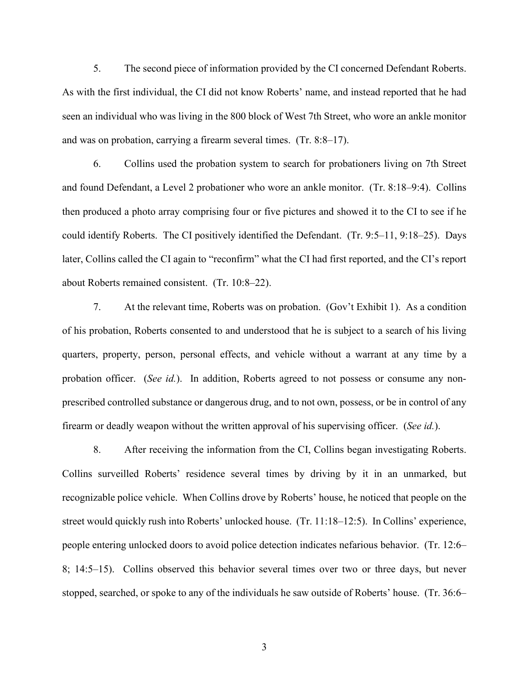5. The second piece of information provided by the CI concerned Defendant Roberts. As with the first individual, the CI did not know Roberts' name, and instead reported that he had seen an individual who was living in the 800 block of West 7th Street, who wore an ankle monitor and was on probation, carrying a firearm several times. (Tr. 8:8–17).

6. Collins used the probation system to search for probationers living on 7th Street and found Defendant, a Level 2 probationer who wore an ankle monitor. (Tr. 8:18–9:4). Collins then produced a photo array comprising four or five pictures and showed it to the CI to see if he could identify Roberts. The CI positively identified the Defendant. (Tr. 9:5–11, 9:18–25). Days later, Collins called the CI again to "reconfirm" what the CI had first reported, and the CI's report about Roberts remained consistent. (Tr. 10:8–22).

7. At the relevant time, Roberts was on probation. (Gov't Exhibit 1). As a condition of his probation, Roberts consented to and understood that he is subject to a search of his living quarters, property, person, personal effects, and vehicle without a warrant at any time by a probation officer. (*See id.*). In addition, Roberts agreed to not possess or consume any nonprescribed controlled substance or dangerous drug, and to not own, possess, or be in control of any firearm or deadly weapon without the written approval of his supervising officer. (*See id.*).

8. After receiving the information from the CI, Collins began investigating Roberts. Collins surveilled Roberts' residence several times by driving by it in an unmarked, but recognizable police vehicle. When Collins drove by Roberts' house, he noticed that people on the street would quickly rush into Roberts' unlocked house. (Tr. 11:18–12:5). In Collins' experience, people entering unlocked doors to avoid police detection indicates nefarious behavior. (Tr. 12:6– 8; 14:5–15). Collins observed this behavior several times over two or three days, but never stopped, searched, or spoke to any of the individuals he saw outside of Roberts' house. (Tr. 36:6–

3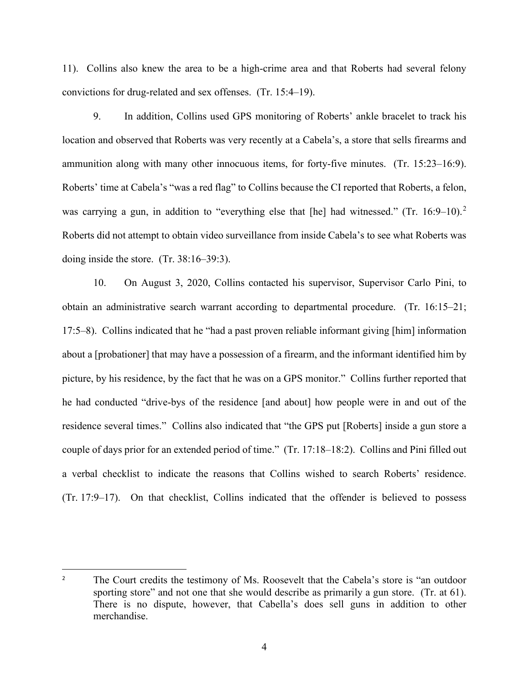11). Collins also knew the area to be a high-crime area and that Roberts had several felony convictions for drug-related and sex offenses. (Tr. 15:4–19).

9. In addition, Collins used GPS monitoring of Roberts' ankle bracelet to track his location and observed that Roberts was very recently at a Cabela's, a store that sells firearms and ammunition along with many other innocuous items, for forty-five minutes. (Tr. 15:23–16:9). Roberts' time at Cabela's "was a red flag" to Collins because the CI reported that Roberts, a felon, was carrying a gun, in addition to "everything else that [he] had witnessed." (Tr. 16:9–10).<sup>[2](#page-3-0)</sup> Roberts did not attempt to obtain video surveillance from inside Cabela's to see what Roberts was doing inside the store. (Tr. 38:16–39:3).

10. On August 3, 2020, Collins contacted his supervisor, Supervisor Carlo Pini, to obtain an administrative search warrant according to departmental procedure. (Tr. 16:15–21; 17:5–8). Collins indicated that he "had a past proven reliable informant giving [him] information about a [probationer] that may have a possession of a firearm, and the informant identified him by picture, by his residence, by the fact that he was on a GPS monitor." Collins further reported that he had conducted "drive-bys of the residence [and about] how people were in and out of the residence several times." Collins also indicated that "the GPS put [Roberts] inside a gun store a couple of days prior for an extended period of time." (Tr. 17:18–18:2). Collins and Pini filled out a verbal checklist to indicate the reasons that Collins wished to search Roberts' residence. (Tr. 17:9–17). On that checklist, Collins indicated that the offender is believed to possess

<span id="page-3-0"></span><sup>&</sup>lt;sup>2</sup> The Court credits the testimony of Ms. Roosevelt that the Cabela's store is "an outdoor sporting store" and not one that she would describe as primarily a gun store. (Tr. at 61). There is no dispute, however, that Cabella's does sell guns in addition to other merchandise.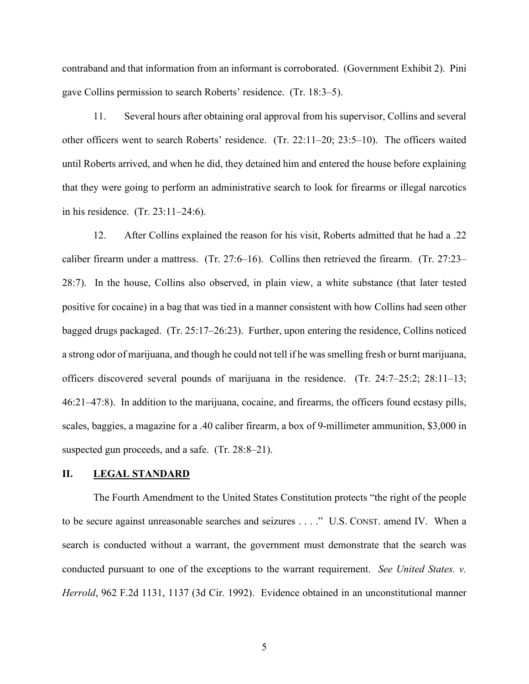contraband and that information from an informant is corroborated. (Government Exhibit 2). Pini gave Collins permission to search Roberts' residence. (Tr. 18:3–5).

11. Several hours after obtaining oral approval from his supervisor, Collins and several other officers went to search Roberts' residence. (Tr. 22:11–20; 23:5–10). The officers waited until Roberts arrived, and when he did, they detained him and entered the house before explaining that they were going to perform an administrative search to look for firearms or illegal narcotics in his residence. (Tr. 23:11–24:6).

12. After Collins explained the reason for his visit, Roberts admitted that he had a .22 caliber firearm under a mattress. (Tr. 27:6–16). Collins then retrieved the firearm. (Tr. 27:23– 28:7). In the house, Collins also observed, in plain view, a white substance (that later tested positive for cocaine) in a bag that was tied in a manner consistent with how Collins had seen other bagged drugs packaged. (Tr. 25:17–26:23). Further, upon entering the residence, Collins noticed a strong odor of marijuana, and though he could not tell if he was smelling fresh or burnt marijuana, officers discovered several pounds of marijuana in the residence. (Tr. 24:7–25:2; 28:11–13; 46:21–47:8). In addition to the marijuana, cocaine, and firearms, the officers found ecstasy pills, scales, baggies, a magazine for a .40 caliber firearm, a box of 9-millimeter ammunition, \$3,000 in suspected gun proceeds, and a safe. (Tr. 28:8–21).

### **II. LEGAL STANDARD**

The Fourth Amendment to the United States Constitution protects "the right of the people to be secure against unreasonable searches and seizures . . . ." U.S. CONST. amend IV. When a search is conducted without a warrant, the government must demonstrate that the search was conducted pursuant to one of the exceptions to the warrant requirement. *See United States. v. Herrold*, 962 F.2d 1131, 1137 (3d Cir. 1992). Evidence obtained in an unconstitutional manner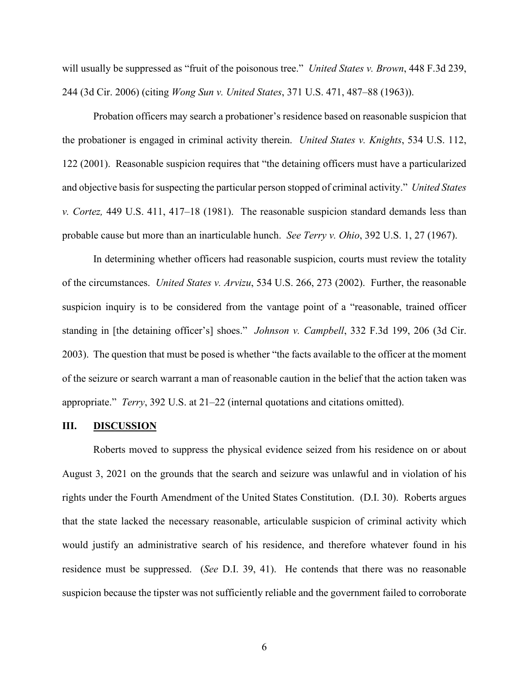will usually be suppressed as "fruit of the poisonous tree." *United States v. Brown*, 448 F.3d 239, 244 (3d Cir. 2006) (citing *Wong Sun v. United States*, 371 U.S. 471, 487–88 (1963)).

Probation officers may search a probationer's residence based on reasonable suspicion that the probationer is engaged in criminal activity therein. *United States v. Knights*, 534 U.S. 112, 122 (2001). Reasonable suspicion requires that "the detaining officers must have a particularized and objective basis for suspecting the particular person stopped of criminal activity." *United States v. Cortez,* 449 U.S. 411, 417–18 (1981). The reasonable suspicion standard demands less than probable cause but more than an inarticulable hunch. *See Terry v. Ohio*, 392 U.S. 1, 27 (1967).

In determining whether officers had reasonable suspicion, courts must review the totality of the circumstances. *United States v. Arvizu*, 534 U.S. 266, 273 (2002). Further, the reasonable suspicion inquiry is to be considered from the vantage point of a "reasonable, trained officer standing in [the detaining officer's] shoes." *Johnson v. Campbell*, 332 F.3d 199, 206 (3d Cir. 2003). The question that must be posed is whether "the facts available to the officer at the moment of the seizure or search warrant a man of reasonable caution in the belief that the action taken was appropriate." *Terry*, 392 U.S. at 21–22 (internal quotations and citations omitted).

#### **III. DISCUSSION**

Roberts moved to suppress the physical evidence seized from his residence on or about August 3, 2021 on the grounds that the search and seizure was unlawful and in violation of his rights under the Fourth Amendment of the United States Constitution. (D.I. 30). Roberts argues that the state lacked the necessary reasonable, articulable suspicion of criminal activity which would justify an administrative search of his residence, and therefore whatever found in his residence must be suppressed. (*See* D.I. 39, 41). He contends that there was no reasonable suspicion because the tipster was not sufficiently reliable and the government failed to corroborate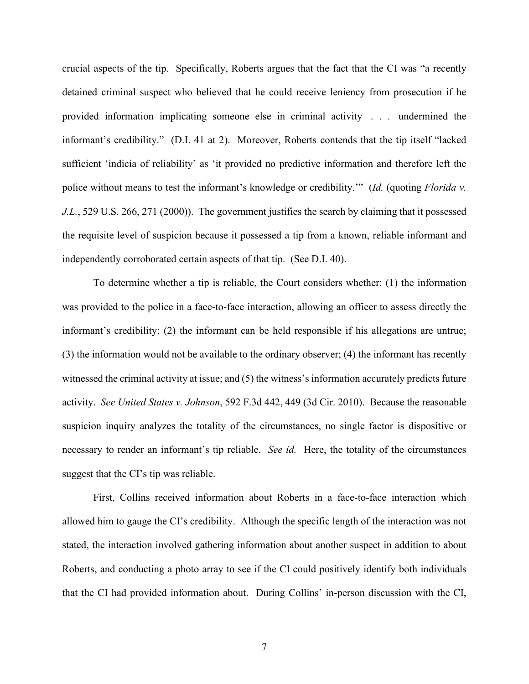crucial aspects of the tip. Specifically, Roberts argues that the fact that the CI was "a recently detained criminal suspect who believed that he could receive leniency from prosecution if he provided information implicating someone else in criminal activity . . . undermined the informant's credibility." (D.I. 41 at 2). Moreover, Roberts contends that the tip itself "lacked sufficient 'indicia of reliability' as 'it provided no predictive information and therefore left the police without means to test the informant's knowledge or credibility.'" (*Id.* (quoting *Florida v. J.L.*, 529 U.S. 266, 271 (2000)). The government justifies the search by claiming that it possessed the requisite level of suspicion because it possessed a tip from a known, reliable informant and independently corroborated certain aspects of that tip. (See D.I. 40).

To determine whether a tip is reliable, the Court considers whether: (1) the information was provided to the police in a face-to-face interaction, allowing an officer to assess directly the informant's credibility; (2) the informant can be held responsible if his allegations are untrue; (3) the information would not be available to the ordinary observer; (4) the informant has recently witnessed the criminal activity at issue; and (5) the witness's information accurately predicts future activity. *See United States v. Johnson*, 592 F.3d 442, 449 (3d Cir. 2010). Because the reasonable suspicion inquiry analyzes the totality of the circumstances, no single factor is dispositive or necessary to render an informant's tip reliable. *See id.* Here, the totality of the circumstances suggest that the CI's tip was reliable.

First, Collins received information about Roberts in a face-to-face interaction which allowed him to gauge the CI's credibility. Although the specific length of the interaction was not stated, the interaction involved gathering information about another suspect in addition to about Roberts, and conducting a photo array to see if the CI could positively identify both individuals that the CI had provided information about. During Collins' in-person discussion with the CI,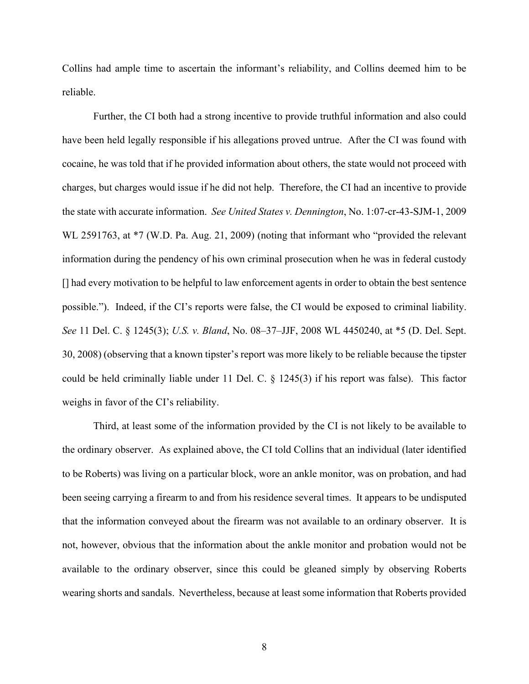Collins had ample time to ascertain the informant's reliability, and Collins deemed him to be reliable.

Further, the CI both had a strong incentive to provide truthful information and also could have been held legally responsible if his allegations proved untrue. After the CI was found with cocaine, he was told that if he provided information about others, the state would not proceed with charges, but charges would issue if he did not help. Therefore, the CI had an incentive to provide the state with accurate information. *See United States v. Dennington*, No. 1:07-cr-43-SJM-1, 2009 WL 2591763, at  $*7$  (W.D. Pa. Aug. 21, 2009) (noting that informant who "provided the relevant information during the pendency of his own criminal prosecution when he was in federal custody [] had every motivation to be helpful to law enforcement agents in order to obtain the best sentence possible."). Indeed, if the CI's reports were false, the CI would be exposed to criminal liability. *See* 11 Del. C. § 1245(3); *U.S. v. Bland*, No. 08–37–JJF, 2008 WL 4450240, at \*5 (D. Del. Sept. 30, 2008) (observing that a known tipster's report was more likely to be reliable because the tipster could be held criminally liable under 11 Del. C. § 1245(3) if his report was false). This factor weighs in favor of the CI's reliability.

Third, at least some of the information provided by the CI is not likely to be available to the ordinary observer. As explained above, the CI told Collins that an individual (later identified to be Roberts) was living on a particular block, wore an ankle monitor, was on probation, and had been seeing carrying a firearm to and from his residence several times. It appears to be undisputed that the information conveyed about the firearm was not available to an ordinary observer. It is not, however, obvious that the information about the ankle monitor and probation would not be available to the ordinary observer, since this could be gleaned simply by observing Roberts wearing shorts and sandals. Nevertheless, because at least some information that Roberts provided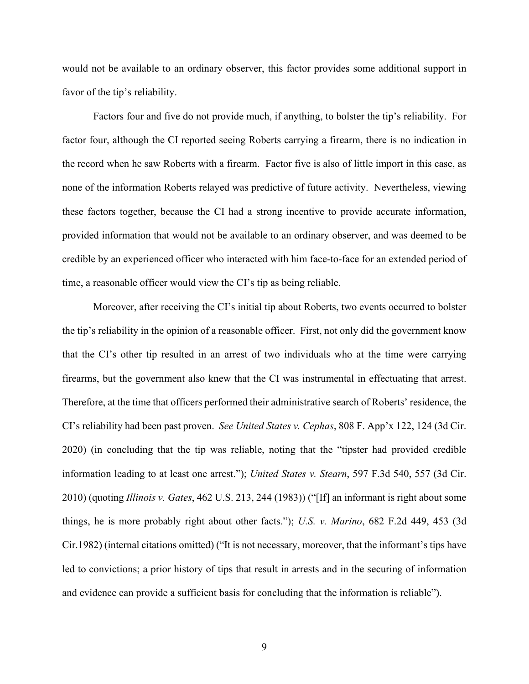would not be available to an ordinary observer, this factor provides some additional support in favor of the tip's reliability.

Factors four and five do not provide much, if anything, to bolster the tip's reliability. For factor four, although the CI reported seeing Roberts carrying a firearm, there is no indication in the record when he saw Roberts with a firearm. Factor five is also of little import in this case, as none of the information Roberts relayed was predictive of future activity. Nevertheless, viewing these factors together, because the CI had a strong incentive to provide accurate information, provided information that would not be available to an ordinary observer, and was deemed to be credible by an experienced officer who interacted with him face-to-face for an extended period of time, a reasonable officer would view the CI's tip as being reliable.

Moreover, after receiving the CI's initial tip about Roberts, two events occurred to bolster the tip's reliability in the opinion of a reasonable officer. First, not only did the government know that the CI's other tip resulted in an arrest of two individuals who at the time were carrying firearms, but the government also knew that the CI was instrumental in effectuating that arrest. Therefore, at the time that officers performed their administrative search of Roberts' residence, the CI's reliability had been past proven. *See United States v. Cephas*, 808 F. App'x 122, 124 (3d Cir. 2020) (in concluding that the tip was reliable, noting that the "tipster had provided credible information leading to at least one arrest."); *United States v. Stearn*, 597 F.3d 540, 557 (3d Cir. 2010) (quoting *Illinois v. Gates*, 462 U.S. 213, 244 (1983)) ("[If] an informant is right about some things, he is more probably right about other facts."); *U.S. v. Marino*[, 682 F.2d 449, 453 \(3d](https://1.next.westlaw.com/Link/Document/FullText?findType=Y&serNum=1982130799&pubNum=350&originatingDoc=I716a8a6982a311dca1e6fa81e64372bf&refType=RP&fi=co_pp_sp_350_453&originationContext=document&transitionType=DocumentItem&ppcid=c915c2fe2f5a4e0596d6d9a8da693374&contextData=(sc.Search)#co_pp_sp_350_453)  [Cir.1982\)](https://1.next.westlaw.com/Link/Document/FullText?findType=Y&serNum=1982130799&pubNum=350&originatingDoc=I716a8a6982a311dca1e6fa81e64372bf&refType=RP&fi=co_pp_sp_350_453&originationContext=document&transitionType=DocumentItem&ppcid=c915c2fe2f5a4e0596d6d9a8da693374&contextData=(sc.Search)#co_pp_sp_350_453) (internal citations omitted) ("It is not necessary, moreover, that the informant's tips have led to convictions; a prior history of tips that result in arrests and in the securing of information and evidence can provide a sufficient basis for concluding that the information is reliable").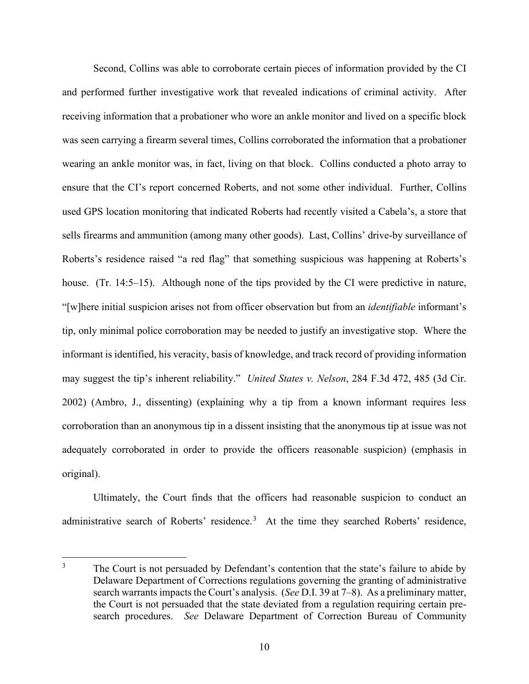Second, Collins was able to corroborate certain pieces of information provided by the CI and performed further investigative work that revealed indications of criminal activity. After receiving information that a probationer who wore an ankle monitor and lived on a specific block was seen carrying a firearm several times, Collins corroborated the information that a probationer wearing an ankle monitor was, in fact, living on that block. Collins conducted a photo array to ensure that the CI's report concerned Roberts, and not some other individual. Further, Collins used GPS location monitoring that indicated Roberts had recently visited a Cabela's, a store that sells firearms and ammunition (among many other goods). Last, Collins' drive-by surveillance of Roberts's residence raised "a red flag" that something suspicious was happening at Roberts's house. (Tr. 14:5–15). Although none of the tips provided by the CI were predictive in nature, "[w]here initial suspicion arises not from officer observation but from an *identifiable* informant's tip, only minimal police corroboration may be needed to justify an investigative stop. Where the informant is identified, his veracity, basis of knowledge, and track record of providing information may suggest the tip's inherent reliability." *United States v. Nelson*, 284 F.3d 472, 485 (3d Cir. 2002) (Ambro, J., dissenting) (explaining why a tip from a known informant requires less corroboration than an anonymous tip in a dissent insisting that the anonymous tip at issue was not adequately corroborated in order to provide the officers reasonable suspicion) (emphasis in original).

Ultimately, the Court finds that the officers had reasonable suspicion to conduct an administrative search of Roberts' residence.<sup>[3](#page-9-0)</sup> At the time they searched Roberts' residence,

<span id="page-9-0"></span><sup>&</sup>lt;sup>3</sup> The Court is not persuaded by Defendant's contention that the state's failure to abide by Delaware Department of Corrections regulations governing the granting of administrative search warrants impacts the Court's analysis. (*See D.I. 39 at 7–8*). As a preliminary matter, the Court is not persuaded that the state deviated from a regulation requiring certain presearch procedures. *See* Delaware Department of Correction Bureau of Community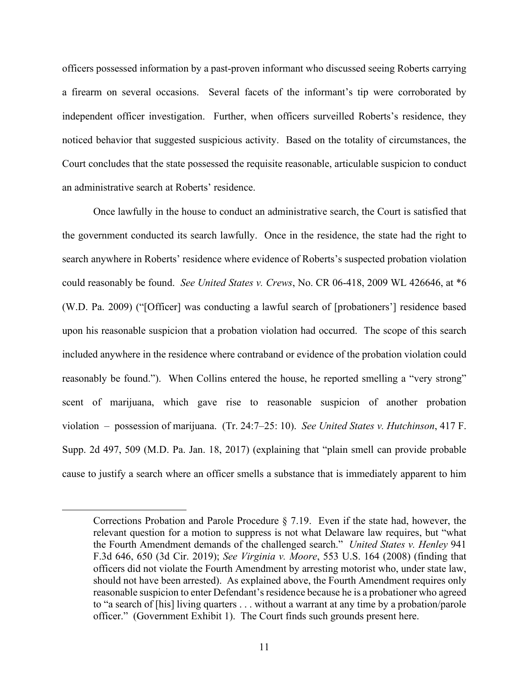officers possessed information by a past-proven informant who discussed seeing Roberts carrying a firearm on several occasions. Several facets of the informant's tip were corroborated by independent officer investigation. Further, when officers surveilled Roberts's residence, they noticed behavior that suggested suspicious activity. Based on the totality of circumstances, the Court concludes that the state possessed the requisite reasonable, articulable suspicion to conduct an administrative search at Roberts' residence.

Once lawfully in the house to conduct an administrative search, the Court is satisfied that the government conducted its search lawfully. Once in the residence, the state had the right to search anywhere in Roberts' residence where evidence of Roberts's suspected probation violation could reasonably be found. *See United States v. Crews*, No. CR 06-418, 2009 WL 426646, at \*6 (W.D. Pa. 2009) ("[Officer] was conducting a lawful search of [probationers'] residence based upon his reasonable suspicion that a probation violation had occurred. The scope of this search included anywhere in the residence where contraband or evidence of the probation violation could reasonably be found."). When Collins entered the house, he reported smelling a "very strong" scent of marijuana, which gave rise to reasonable suspicion of another probation violation – possession of marijuana. (Tr. 24:7–25: 10). *See United States v. Hutchinson*, 417 F. Supp. 2d 497, 509 (M.D. Pa. Jan. 18, 2017) (explaining that "plain smell can provide probable cause to justify a search where an officer smells a substance that is immediately apparent to him

Corrections Probation and Parole Procedure § 7.19. Even if the state had, however, the relevant question for a motion to suppress is not what Delaware law requires, but "what the Fourth Amendment demands of the challenged search." *United States v. Henley* 941 F.3d 646, 650 (3d Cir. 2019); *See Virginia v. Moore*, 553 U.S. 164 (2008) (finding that officers did not violate the Fourth Amendment by arresting motorist who, under state law, should not have been arrested). As explained above, the Fourth Amendment requires only reasonable suspicion to enter Defendant's residence because he is a probationer who agreed to "a search of [his] living quarters . . . without a warrant at any time by a probation/parole officer." (Government Exhibit 1). The Court finds such grounds present here.